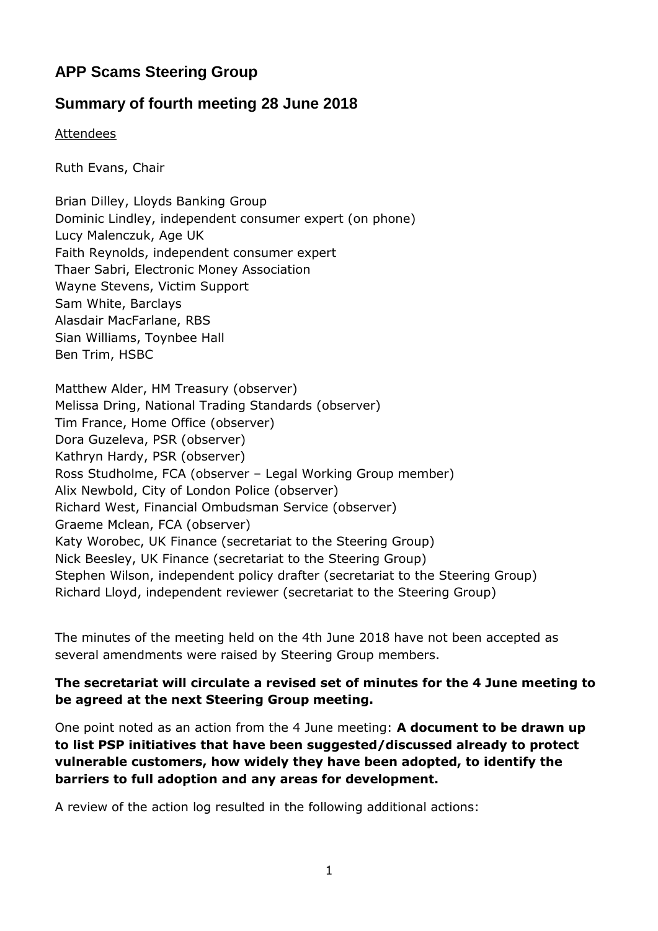# **APP Scams Steering Group**

## **Summary of fourth meeting 28 June 2018**

Attendees

Ruth Evans, Chair

Brian Dilley, Lloyds Banking Group Dominic Lindley, independent consumer expert (on phone) Lucy Malenczuk, Age UK Faith Reynolds, independent consumer expert Thaer Sabri, Electronic Money Association Wayne Stevens, Victim Support Sam White, Barclays Alasdair MacFarlane, RBS Sian Williams, Toynbee Hall Ben Trim, HSBC

Matthew Alder, HM Treasury (observer) Melissa Dring, National Trading Standards (observer) Tim France, Home Office (observer) Dora Guzeleva, PSR (observer) Kathryn Hardy, PSR (observer) Ross Studholme, FCA (observer – Legal Working Group member) Alix Newbold, City of London Police (observer) Richard West, Financial Ombudsman Service (observer) Graeme Mclean, FCA (observer) Katy Worobec, UK Finance (secretariat to the Steering Group) Nick Beesley, UK Finance (secretariat to the Steering Group) Stephen Wilson, independent policy drafter (secretariat to the Steering Group) Richard Lloyd, independent reviewer (secretariat to the Steering Group)

The minutes of the meeting held on the 4th June 2018 have not been accepted as several amendments were raised by Steering Group members.

#### **The secretariat will circulate a revised set of minutes for the 4 June meeting to be agreed at the next Steering Group meeting.**

One point noted as an action from the 4 June meeting: **A document to be drawn up to list PSP initiatives that have been suggested/discussed already to protect vulnerable customers, how widely they have been adopted, to identify the barriers to full adoption and any areas for development.**

A review of the action log resulted in the following additional actions: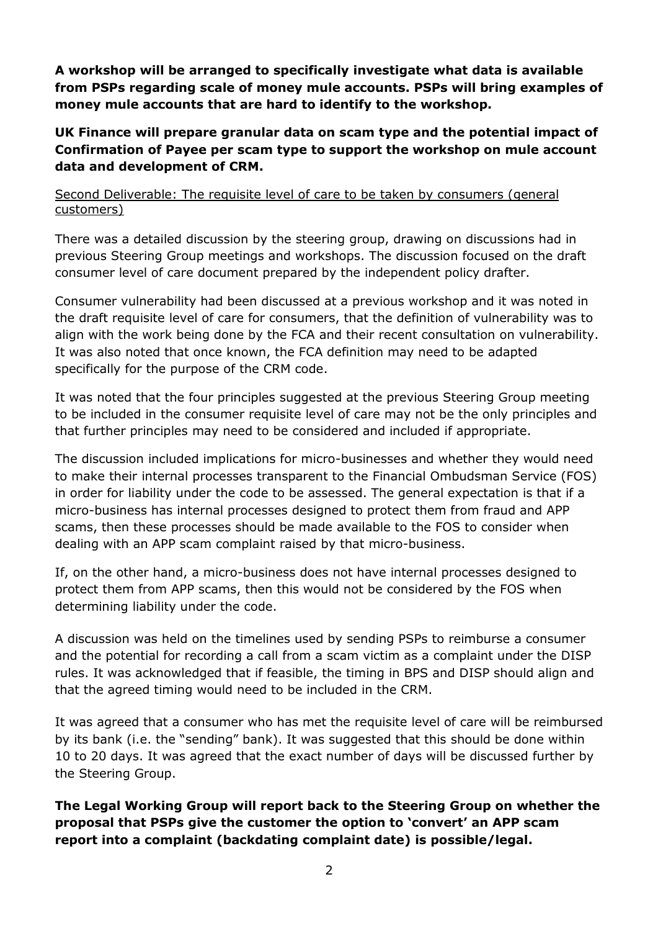**A workshop will be arranged to specifically investigate what data is available from PSPs regarding scale of money mule accounts. PSPs will bring examples of money mule accounts that are hard to identify to the workshop.**

### **UK Finance will prepare granular data on scam type and the potential impact of Confirmation of Payee per scam type to support the workshop on mule account data and development of CRM.**

#### Second Deliverable: The requisite level of care to be taken by consumers (general customers)

There was a detailed discussion by the steering group, drawing on discussions had in previous Steering Group meetings and workshops. The discussion focused on the draft consumer level of care document prepared by the independent policy drafter.

Consumer vulnerability had been discussed at a previous workshop and it was noted in the draft requisite level of care for consumers, that the definition of vulnerability was to align with the work being done by the FCA and their recent consultation on vulnerability. It was also noted that once known, the FCA definition may need to be adapted specifically for the purpose of the CRM code.

It was noted that the four principles suggested at the previous Steering Group meeting to be included in the consumer requisite level of care may not be the only principles and that further principles may need to be considered and included if appropriate.

The discussion included implications for micro-businesses and whether they would need to make their internal processes transparent to the Financial Ombudsman Service (FOS) in order for liability under the code to be assessed. The general expectation is that if a micro-business has internal processes designed to protect them from fraud and APP scams, then these processes should be made available to the FOS to consider when dealing with an APP scam complaint raised by that micro-business.

If, on the other hand, a micro-business does not have internal processes designed to protect them from APP scams, then this would not be considered by the FOS when determining liability under the code.

A discussion was held on the timelines used by sending PSPs to reimburse a consumer and the potential for recording a call from a scam victim as a complaint under the DISP rules. It was acknowledged that if feasible, the timing in BPS and DISP should align and that the agreed timing would need to be included in the CRM.

It was agreed that a consumer who has met the requisite level of care will be reimbursed by its bank (i.e. the "sending" bank). It was suggested that this should be done within 10 to 20 days. It was agreed that the exact number of days will be discussed further by the Steering Group.

**The Legal Working Group will report back to the Steering Group on whether the proposal that PSPs give the customer the option to 'convert' an APP scam report into a complaint (backdating complaint date) is possible/legal.**